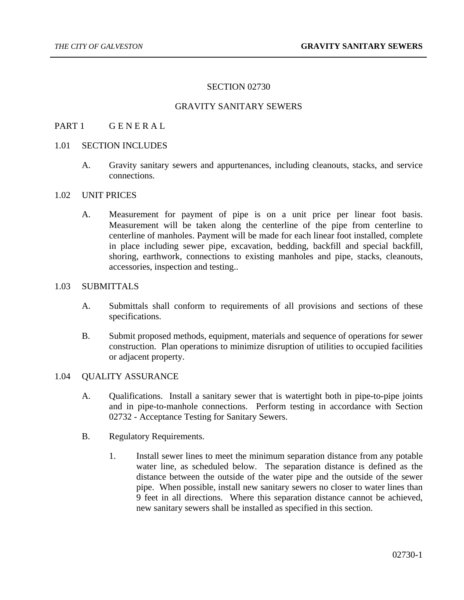## SECTION 02730

## GRAVITY SANITARY SEWERS

## PART 1 GENERAL

#### 1.01 SECTION INCLUDES

A. Gravity sanitary sewers and appurtenances, including cleanouts, stacks, and service connections.

#### 1.02 UNIT PRICES

A. Measurement for payment of pipe is on a unit price per linear foot basis. Measurement will be taken along the centerline of the pipe from centerline to centerline of manholes. Payment will be made for each linear foot installed, complete in place including sewer pipe, excavation, bedding, backfill and special backfill, shoring, earthwork, connections to existing manholes and pipe, stacks, cleanouts, accessories, inspection and testing..

#### 1.03 SUBMITTALS

- A. Submittals shall conform to requirements of all provisions and sections of these specifications.
- B. Submit proposed methods, equipment, materials and sequence of operations for sewer construction. Plan operations to minimize disruption of utilities to occupied facilities or adjacent property.

#### 1.04 QUALITY ASSURANCE

- A. Qualifications. Install a sanitary sewer that is watertight both in pipe-to-pipe joints and in pipe-to-manhole connections. Perform testing in accordance with Section 02732 - Acceptance Testing for Sanitary Sewers.
- B. Regulatory Requirements.
	- 1. Install sewer lines to meet the minimum separation distance from any potable water line, as scheduled below. The separation distance is defined as the distance between the outside of the water pipe and the outside of the sewer pipe. When possible, install new sanitary sewers no closer to water lines than 9 feet in all directions. Where this separation distance cannot be achieved, new sanitary sewers shall be installed as specified in this section.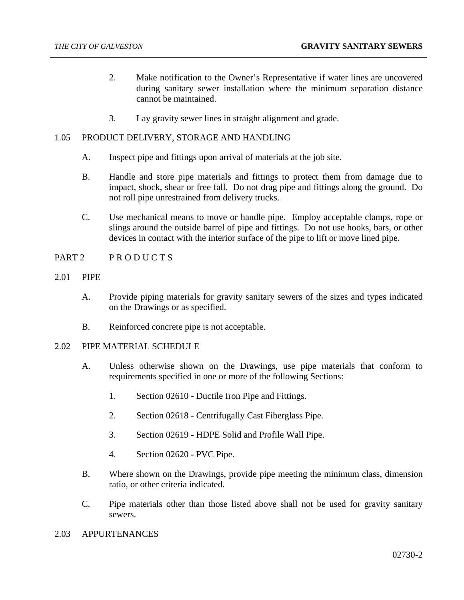- 2. Make notification to the Owner's Representative if water lines are uncovered during sanitary sewer installation where the minimum separation distance cannot be maintained.
- 3. Lay gravity sewer lines in straight alignment and grade.

## 1.05 PRODUCT DELIVERY, STORAGE AND HANDLING

- A. Inspect pipe and fittings upon arrival of materials at the job site.
- B. Handle and store pipe materials and fittings to protect them from damage due to impact, shock, shear or free fall. Do not drag pipe and fittings along the ground. Do not roll pipe unrestrained from delivery trucks.
- C. Use mechanical means to move or handle pipe. Employ acceptable clamps, rope or slings around the outside barrel of pipe and fittings. Do not use hooks, bars, or other devices in contact with the interior surface of the pipe to lift or move lined pipe.
- PART 2 PRODUCTS
- 2.01 PIPE
	- A. Provide piping materials for gravity sanitary sewers of the sizes and types indicated on the Drawings or as specified.
	- B. Reinforced concrete pipe is not acceptable.

## 2.02 PIPE MATERIAL SCHEDULE

- A. Unless otherwise shown on the Drawings, use pipe materials that conform to requirements specified in one or more of the following Sections:
	- 1. Section 02610 Ductile Iron Pipe and Fittings.
	- 2. Section 02618 Centrifugally Cast Fiberglass Pipe.
	- 3. Section 02619 HDPE Solid and Profile Wall Pipe.
	- 4. Section 02620 PVC Pipe.
- B. Where shown on the Drawings, provide pipe meeting the minimum class, dimension ratio, or other criteria indicated.
- C. Pipe materials other than those listed above shall not be used for gravity sanitary sewers.
- 2.03 APPURTENANCES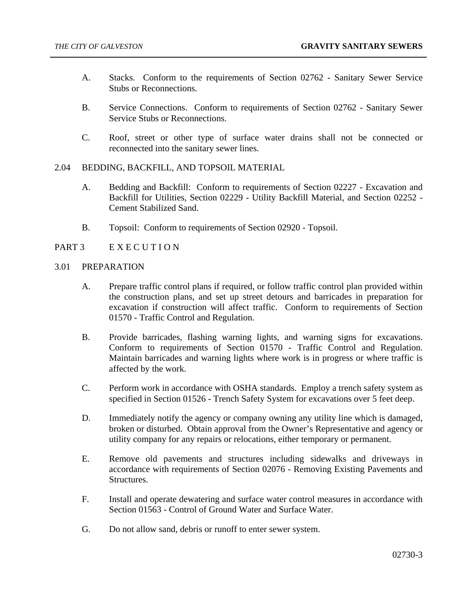- A. Stacks. Conform to the requirements of Section 02762 Sanitary Sewer Service Stubs or Reconnections.
- B. Service Connections. Conform to requirements of Section 02762 Sanitary Sewer Service Stubs or Reconnections.
- C. Roof, street or other type of surface water drains shall not be connected or reconnected into the sanitary sewer lines.
- 2.04 BEDDING, BACKFILL, AND TOPSOIL MATERIAL
	- A. Bedding and Backfill: Conform to requirements of Section 02227 Excavation and Backfill for Utilities, Section 02229 - Utility Backfill Material, and Section 02252 - Cement Stabilized Sand.
	- B. Topsoil: Conform to requirements of Section 02920 Topsoil.
- PART 3 E X E C U T I O N
- 3.01 PREPARATION
	- A. Prepare traffic control plans if required, or follow traffic control plan provided within the construction plans, and set up street detours and barricades in preparation for excavation if construction will affect traffic. Conform to requirements of Section 01570 - Traffic Control and Regulation.
	- B. Provide barricades, flashing warning lights, and warning signs for excavations. Conform to requirements of Section 01570 - Traffic Control and Regulation. Maintain barricades and warning lights where work is in progress or where traffic is affected by the work.
	- C. Perform work in accordance with OSHA standards. Employ a trench safety system as specified in Section 01526 - Trench Safety System for excavations over 5 feet deep.
	- D. Immediately notify the agency or company owning any utility line which is damaged, broken or disturbed. Obtain approval from the Owner's Representative and agency or utility company for any repairs or relocations, either temporary or permanent.
	- E. Remove old pavements and structures including sidewalks and driveways in accordance with requirements of Section 02076 - Removing Existing Pavements and Structures.
	- F. Install and operate dewatering and surface water control measures in accordance with Section 01563 - Control of Ground Water and Surface Water.
	- G. Do not allow sand, debris or runoff to enter sewer system.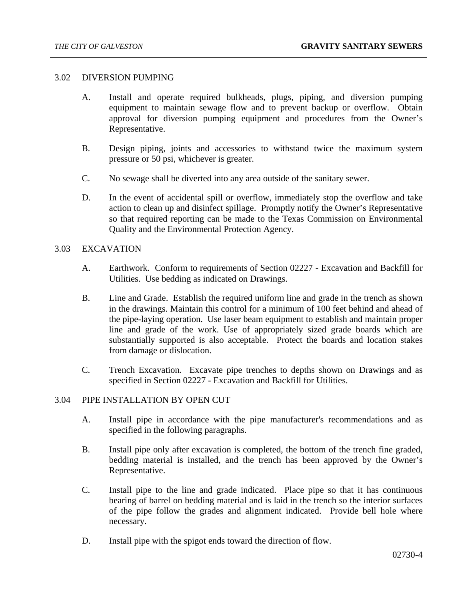#### 3.02 DIVERSION PUMPING

- A. Install and operate required bulkheads, plugs, piping, and diversion pumping equipment to maintain sewage flow and to prevent backup or overflow. Obtain approval for diversion pumping equipment and procedures from the Owner's Representative.
- B. Design piping, joints and accessories to withstand twice the maximum system pressure or 50 psi, whichever is greater.
- C. No sewage shall be diverted into any area outside of the sanitary sewer.
- D. In the event of accidental spill or overflow, immediately stop the overflow and take action to clean up and disinfect spillage. Promptly notify the Owner's Representative so that required reporting can be made to the Texas Commission on Environmental Quality and the Environmental Protection Agency.

## 3.03 EXCAVATION

- A. Earthwork. Conform to requirements of Section 02227 Excavation and Backfill for Utilities. Use bedding as indicated on Drawings.
- B. Line and Grade. Establish the required uniform line and grade in the trench as shown in the drawings. Maintain this control for a minimum of 100 feet behind and ahead of the pipe-laying operation. Use laser beam equipment to establish and maintain proper line and grade of the work. Use of appropriately sized grade boards which are substantially supported is also acceptable. Protect the boards and location stakes from damage or dislocation.
- C. Trench Excavation. Excavate pipe trenches to depths shown on Drawings and as specified in Section 02227 - Excavation and Backfill for Utilities.

## 3.04 PIPE INSTALLATION BY OPEN CUT

- A. Install pipe in accordance with the pipe manufacturer's recommendations and as specified in the following paragraphs.
- B. Install pipe only after excavation is completed, the bottom of the trench fine graded, bedding material is installed, and the trench has been approved by the Owner's Representative.
- C. Install pipe to the line and grade indicated. Place pipe so that it has continuous bearing of barrel on bedding material and is laid in the trench so the interior surfaces of the pipe follow the grades and alignment indicated. Provide bell hole where necessary.
- D. Install pipe with the spigot ends toward the direction of flow.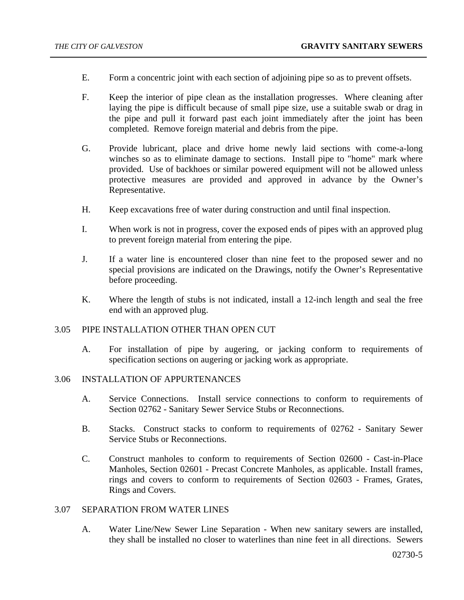- E. Form a concentric joint with each section of adjoining pipe so as to prevent offsets.
- F. Keep the interior of pipe clean as the installation progresses. Where cleaning after laying the pipe is difficult because of small pipe size, use a suitable swab or drag in the pipe and pull it forward past each joint immediately after the joint has been completed. Remove foreign material and debris from the pipe.
- G. Provide lubricant, place and drive home newly laid sections with come-a-long winches so as to eliminate damage to sections. Install pipe to "home" mark where provided. Use of backhoes or similar powered equipment will not be allowed unless protective measures are provided and approved in advance by the Owner's Representative.
- H. Keep excavations free of water during construction and until final inspection.
- I. When work is not in progress, cover the exposed ends of pipes with an approved plug to prevent foreign material from entering the pipe.
- J. If a water line is encountered closer than nine feet to the proposed sewer and no special provisions are indicated on the Drawings, notify the Owner's Representative before proceeding.
- K. Where the length of stubs is not indicated, install a 12-inch length and seal the free end with an approved plug.

## 3.05 PIPE INSTALLATION OTHER THAN OPEN CUT

A. For installation of pipe by augering, or jacking conform to requirements of specification sections on augering or jacking work as appropriate.

## 3.06 INSTALLATION OF APPURTENANCES

- A. Service Connections. Install service connections to conform to requirements of Section 02762 - Sanitary Sewer Service Stubs or Reconnections.
- B. Stacks. Construct stacks to conform to requirements of 02762 Sanitary Sewer Service Stubs or Reconnections.
- C. Construct manholes to conform to requirements of Section 02600 Cast-in-Place Manholes, Section 02601 - Precast Concrete Manholes, as applicable. Install frames, rings and covers to conform to requirements of Section 02603 - Frames, Grates, Rings and Covers.

# 3.07 SEPARATION FROM WATER LINES

A. Water Line/New Sewer Line Separation - When new sanitary sewers are installed, they shall be installed no closer to waterlines than nine feet in all directions. Sewers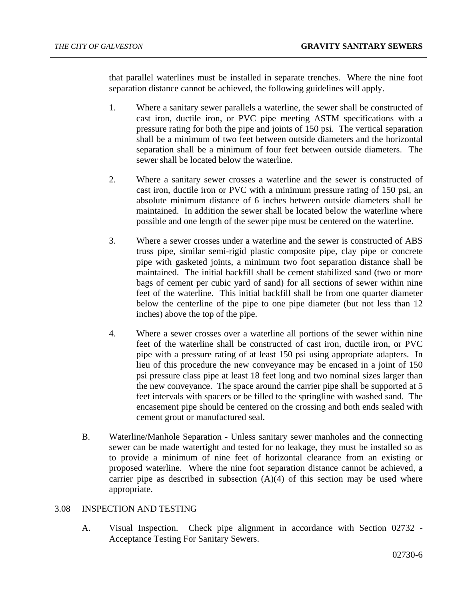that parallel waterlines must be installed in separate trenches. Where the nine foot separation distance cannot be achieved, the following guidelines will apply.

- 1. Where a sanitary sewer parallels a waterline, the sewer shall be constructed of cast iron, ductile iron, or PVC pipe meeting ASTM specifications with a pressure rating for both the pipe and joints of 150 psi. The vertical separation shall be a minimum of two feet between outside diameters and the horizontal separation shall be a minimum of four feet between outside diameters. The sewer shall be located below the waterline.
- 2. Where a sanitary sewer crosses a waterline and the sewer is constructed of cast iron, ductile iron or PVC with a minimum pressure rating of 150 psi, an absolute minimum distance of 6 inches between outside diameters shall be maintained. In addition the sewer shall be located below the waterline where possible and one length of the sewer pipe must be centered on the waterline.
- 3. Where a sewer crosses under a waterline and the sewer is constructed of ABS truss pipe, similar semi-rigid plastic composite pipe, clay pipe or concrete pipe with gasketed joints, a minimum two foot separation distance shall be maintained. The initial backfill shall be cement stabilized sand (two or more bags of cement per cubic yard of sand) for all sections of sewer within nine feet of the waterline. This initial backfill shall be from one quarter diameter below the centerline of the pipe to one pipe diameter (but not less than 12 inches) above the top of the pipe.
- 4. Where a sewer crosses over a waterline all portions of the sewer within nine feet of the waterline shall be constructed of cast iron, ductile iron, or PVC pipe with a pressure rating of at least 150 psi using appropriate adapters. In lieu of this procedure the new conveyance may be encased in a joint of 150 psi pressure class pipe at least 18 feet long and two nominal sizes larger than the new conveyance. The space around the carrier pipe shall be supported at 5 feet intervals with spacers or be filled to the springline with washed sand. The encasement pipe should be centered on the crossing and both ends sealed with cement grout or manufactured seal.
- B. Waterline/Manhole Separation Unless sanitary sewer manholes and the connecting sewer can be made watertight and tested for no leakage, they must be installed so as to provide a minimum of nine feet of horizontal clearance from an existing or proposed waterline. Where the nine foot separation distance cannot be achieved, a carrier pipe as described in subsection  $(A)(4)$  of this section may be used where appropriate.

# 3.08 INSPECTION AND TESTING

A. Visual Inspection. Check pipe alignment in accordance with Section 02732 - Acceptance Testing For Sanitary Sewers.